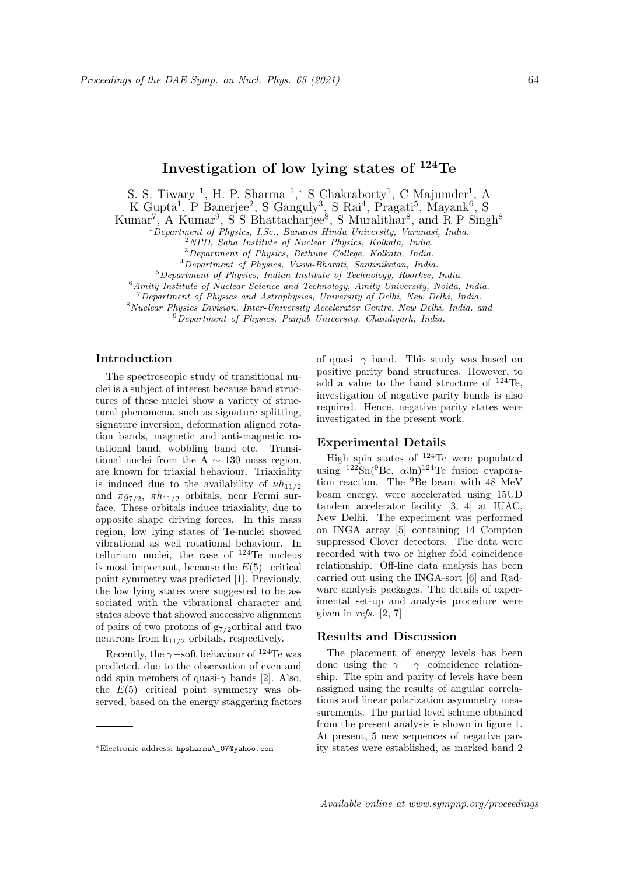# Investigation of low lying states of <sup>124</sup>Te

S. S. Tiwary<sup>1</sup>, H. P. Sharma<sup>1</sup>,\* S Chakraborty<sup>1</sup>, C Majumder<sup>1</sup>, A

K Gupta<sup>1</sup>, P Banerjee<sup>2</sup>, S Ganguly<sup>3</sup>, S Rai<sup>4</sup>, Pragati<sup>5</sup>, Mayank<sup>6</sup>, S

Kumar<sup>7</sup>, A Kumar<sup>9</sup>, S S Bhattacharjee<sup>8</sup>, S Muralithar<sup>8</sup>, and R P Singh<sup>8</sup>

 $1$ Department of Physics, I.Sc., Banaras Hindu University, Varanasi, India.

<sup>2</sup>NPD, Saha Institute of Nuclear Physics, Kolkata, India.

<sup>3</sup>Department of Physics, Bethune College, Kolkata, India.

<sup>4</sup>Department of Physics, Visva-Bharati, Santiniketan, India.

<sup>5</sup>Department of Physics, Indian Institute of Technology, Roorkee, India.

<sup>6</sup> Amity Institute of Nuclear Science and Technology, Amity University, Noida, India.

<sup>7</sup>Department of Physics and Astrophysics, University of Delhi, New Delhi, India.

<sup>8</sup> Nuclear Physics Division, Inter-University Accelerator Centre, New Delhi, India. and

<sup>9</sup>Department of Physics, Panjab University, Chandigarh, India.

## Introduction

The spectroscopic study of transitional nuclei is a subject of interest because band structures of these nuclei show a variety of structural phenomena, such as signature splitting, signature inversion, deformation aligned rotation bands, magnetic and anti-magnetic rotational band, wobbling band etc. Transitional nuclei from the A  $\sim$  130 mass region, are known for triaxial behaviour. Triaxiality is induced due to the availability of  $\nu h_{11/2}$ and  $\pi g_{7/2}$ ,  $\pi h_{11/2}$  orbitals, near Fermi surface. These orbitals induce triaxiality, due to opposite shape driving forces. In this mass region, low lying states of Te-nuclei showed vibrational as well rotational behaviour. In tellurium nuclei, the case of <sup>124</sup>Te nucleus is most important, because the  $E(5)$ –critical point symmetry was predicted [1]. Previously, the low lying states were suggested to be associated with the vibrational character and states above that showed successive alignment of pairs of two protons of  $g_{7/2}$ orbital and two neutrons from  $h_{11/2}$  orbitals, respectively.

Recently, the  $\gamma$ −soft behaviour of <sup>124</sup>Te was predicted, due to the observation of even and odd spin members of quasi- $\gamma$  bands [2]. Also, the  $E(5)$ -critical point symmetry was observed, based on the energy staggering factors

of quasi−γ band. This study was based on positive parity band structures. However, to add a value to the band structure of <sup>124</sup>Te, investigation of negative parity bands is also required. Hence, negative parity states were investigated in the present work.

### Experimental Details

High spin states of <sup>124</sup>Te were populated using  $122$ Sn( $9$ Be,  $\alpha 3n$ )<sup>124</sup>Te fusion evaporation reaction. The <sup>9</sup>Be beam with 48 MeV beam energy, were accelerated using 15UD tandem accelerator facility [3, 4] at IUAC, New Delhi. The experiment was performed on INGA array [5] containing 14 Compton suppressed Clover detectors. The data were recorded with two or higher fold coincidence relationship. Off-line data analysis has been carried out using the INGA-sort [6] and Radware analysis packages. The details of experimental set-up and analysis procedure were given in refs. [2, 7]

#### Results and Discussion

The placement of energy levels has been done using the  $\gamma - \gamma$ -coincidence relationship. The spin and parity of levels have been assigned using the results of angular correlations and linear polarization asymmetry measurements. The partial level scheme obtained from the present analysis is shown in figure 1. At present, 5 new sequences of negative parity states were established, as marked band 2

<sup>∗</sup>Electronic address: hpsharma\\_07@yahoo.com